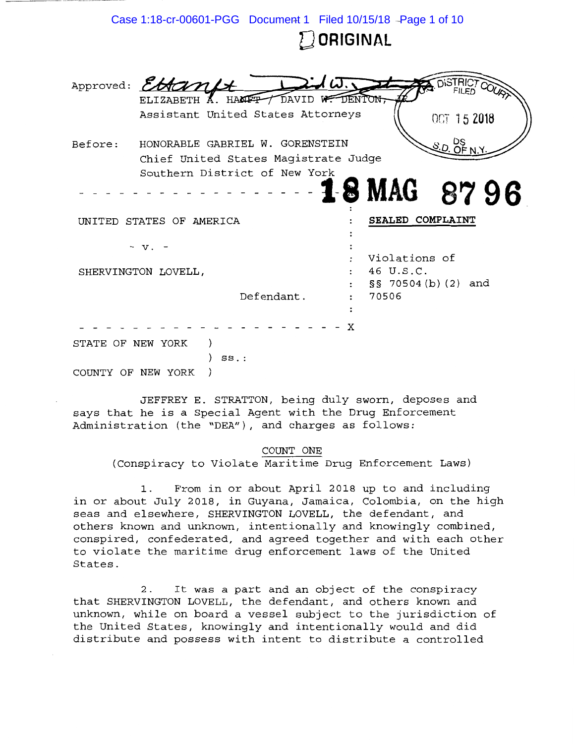|                          | Case 1:18-cr-00601-PGG Document 1 Filed 10/15/18 - Page 1 of 10 |            |                      |                            |                 |  |  |
|--------------------------|-----------------------------------------------------------------|------------|----------------------|----------------------------|-----------------|--|--|
|                          |                                                                 |            | $\mathbb Z$ ORIGINAL |                            |                 |  |  |
|                          |                                                                 |            |                      |                            |                 |  |  |
|                          | Approved: EttanLt                                               |            | ノばこ                  |                            | <b>DISTRICT</b> |  |  |
|                          | ELIZABETH A. HAMPT / DAVID W. DENTON,                           |            |                      |                            |                 |  |  |
|                          | Assistant United States Attorneys                               |            |                      |                            | OCT 15 2018     |  |  |
| Before:                  | S.D. DS<br>S.D. OF N.Y<br>HONORABLE GABRIEL W. GORENSTEIN       |            |                      |                            |                 |  |  |
|                          | Chief United States Magistrate Judge                            |            |                      |                            |                 |  |  |
|                          | Southern District of New York                                   |            |                      |                            |                 |  |  |
|                          |                                                                 |            |                      | <b>18 MAG 8796</b>         |                 |  |  |
|                          |                                                                 |            |                      |                            |                 |  |  |
| UNITED STATES OF AMERICA |                                                                 |            |                      | SEALED COMPLAINT           |                 |  |  |
|                          |                                                                 |            |                      |                            |                 |  |  |
|                          | - v.                                                            |            |                      |                            |                 |  |  |
|                          |                                                                 |            |                      | Violations of<br>46 U.S.C. |                 |  |  |
| SHERVINGTON LOVELL,      |                                                                 |            |                      | $\S$ S 70504 (b) (2) and   |                 |  |  |
|                          |                                                                 | Defendant. |                      | 70506                      |                 |  |  |
|                          |                                                                 |            |                      |                            |                 |  |  |
|                          |                                                                 |            |                      |                            |                 |  |  |
|                          |                                                                 |            | X                    |                            |                 |  |  |
| STATE OF NEW YORK        |                                                                 |            |                      |                            |                 |  |  |
|                          | $SS.$ :                                                         |            |                      |                            |                 |  |  |
|                          | COUNTY OF NEW YORK                                              |            |                      |                            |                 |  |  |

JEFFREY E. STRATTON, being duly sworn, deposes and says that he is a Special Agent with the Drug Enforcement Administration (the "DEA"), and charges as follows:

#### COUNT ONE

(Conspiracy to Violate Maritime Drug Enforcement Laws)

1. From in or about April 2018 up to and including in or about July 2018, in Guyana, Jamaica, Colombia, on the high seas and elsewhere, SHERVINGTON LOVELL, the defendant, and others known and unknown, intentionally and knowingly combined, conspired, confederated, and agreed together and with each other to violate the maritime drug enforcement laws of the United States.

2. It was a part and an object of the conspiracy that SHERVINGTON LOVELL, the defendant, and others known and unknown, while on board a vessel subject to the jurisdiction of the United States, knowingly and intentionally would and did distribute and possess with intent to distribute a controlled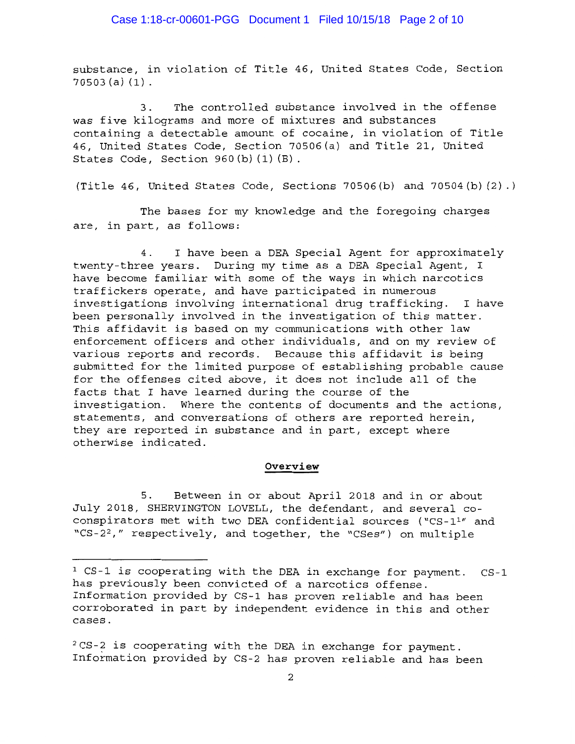substance, in violation of Title 46, United States Code, Section 70503 (a) (1).

3. The controlled substance involved in the offense was five kilograms and more of mixtures and substances containing a detectable amount of cocaine, in violation of Title 46, United States Code, Section 70506(a) and Title 21, United States Code, Section 960(b) (1) (B).

(Title 46, United States Code, Sections 70506(b) and 70504(b) (2) .)

The bases for my knowledge and the foregoing charges are, in part, as follows:

4. I have been a DEA Special Agent for approximately twenty-three years. During my time as a DEA Special Agent, I have become familiar with some of the ways in which narcotics traffickers operate, and have participated in numerous investigations involving international drug trafficking. I have been personally involved in the investigation of this matter. This affidavit is based on my communications with other law enforcement officers and other individuals, and on my review of various reports and records. Because this affidavit is being submitted for the limited purpose of establishing probable cause for the offenses cited above, it does not include all of the facts that I have learned during the course of the investigation. Where the contents of documents and the actions, statements, and conversations of others are reported herein, they are reported in substance and in part, except where otherwise indicated.

#### **Overview**

5. Between in or about April 2018 and in or about July 2018, SHERVINGTON LOVELL, the defendant, and several coconspirators met with two DEA confidential sources ("CS-1<sup>1</sup>" and *"CS-2 <sup>2</sup> , <sup>11</sup>*respectively, and together, the "CSes <sup>11</sup> ) on multiple

<sup>1</sup> CS-1 is cooperating with the DEA in exchange for payment. CS-1 has previously been convicted of a narcotics offense. Information provided by CS-1 has proven reliable and has been corroborated in part by independent evidence in this and other cases.

<sup>2</sup> CS-? is cooperating with the DEA in exchange for payment. Information provided by CS-2 has proven reliable and has been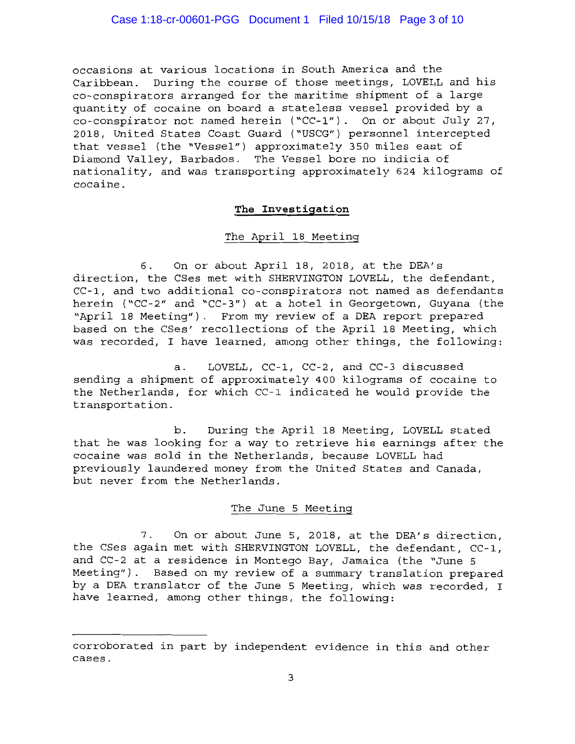occasions at various locations in South America and the Caribbean. During the course of those meetings, LOVELL and his co-conspirators arranged for the maritime shipment of a large quantity of cocaine on board a stateless vessel provided by a co-conspirator not named herein ("CC-1"). On or about July 27, 2018, United States Coast Guard ("USCG") personnel intercepted that vessel (the "Vessel") approximately 350 miles east of Diamond Valley, Barbados. The Vessel bore no indicia of nationality, and was transporting approximately 624 kilograms of cocaine.

## **The Investigation**

## The April 18 Meeting

6. On or about April 18, 2018, at the DEA's direction, the CSes met with SHERVINGTON LOVELL, the defendant, CC-1, and two additional co-conspirators not named as defendants herein ("CC-2" and "CC-3") at a hotel in Georgetown, Guyana (the "April 18 Meeting"). From my review of a DEA report prepared based on the CSes' recollections of the April 18 Meeting, which was recorded, I have learned, among other things, the following:

a. LOVELL, CC-1, CC-2, and CC-3 discussed sending a shipment of approximately 400 kilograms of cocaine to the Netherlands, for which CC-1 indicated he would provide the transportation.

b. During the April 18 Meeting, LOVELL stated that he was looking for a way to retrieve his earnings after the cocaine was sold in the Netherlands, because LOVELL had previously laundered money from the United States and Canada, but never from the Netherlands.

### The June 5 Meeting

7. On or about June 5, 2018, at the DEA's direction, the CSes again met with SHERVINGTON LOVELL, the defendant, CC-1, and CC-2 at a residence in Montego Bay, Jamaica (the "June 5 Meeting"). Based on my review of a summary translation prepared by a DEA translator of the June 5 Meeting, which was recorded, I have learned, among other things, the following:

corroborated in part by independent evidence in this and other cases.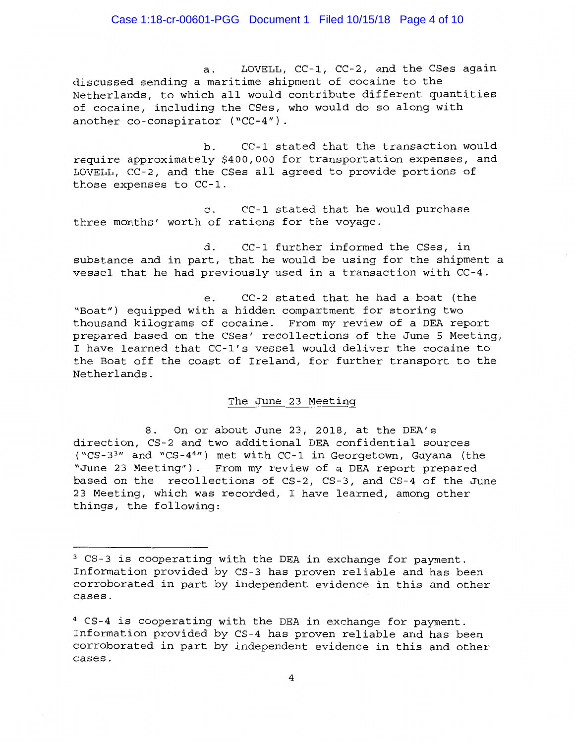### Case 1:18-cr-00601-PGG Document 1 Filed 10/15/18 Page 4 of 10

a. LOVELL, CC-1, CC-2, and the CSes again discussed sending a maritime shipment of cocaine to the Netherlands, to which all would contribute different quantities of cocaine, including the CSes, who would do so along with another co-conspirator ("CC-4").

b. CC-1 stated that the transaction would require approximately \$400,000 for transportation expenses, and LOVELL, CC-2, and the CSes all agreed to provide portions of those expenses to CC-1.

c. CC-1 stated that he would purchase three months' worth of rations for the voyage.

d. CC-1 further informed the CSes, in substance and in part, that he would be using for the shipment a vessel that he had previously used in a transaction with CC-4.

e. CC-2 stated that he had a boat (the "Boat") equipped with a hidden compartment for storing two thousand kilograms of cocaine. From my review of a DEA report prepared based on the CSes' recollections of the June 5 Meeting, I have learned that CC-l's vessel would deliver the cocaine to the Boat off the coast of Ireland, for further transport to the Netherlands.

### The June 23 Meeting

8. On or about June 23, 2018, at the DEA's direction, CS-2 and two additional DEA confidential sources ("CS-3 <sup>3</sup> " and "CS-44 ") met with CC-1 in Georgetown, Guyana (the "June 23 Meeting"). From my review of a DEA report prepared based on the recollections of CS-2, CS-3, and CS-4 of the June 23 Meeting, which was recorded, I have learned, among other things, the following:

<sup>3</sup> CS-3 is cooperating with the DEA in exchange for payment. Information provided by CS-3 has proven reliable and has been corroborated in part by independent evidence in this and other cases.

<sup>4</sup> CS-4 is cooperating with the DEA in exchange for payment. Information provided by CS-4 has proven reliable and has been corroborated in part by independent evidence in this and other cases.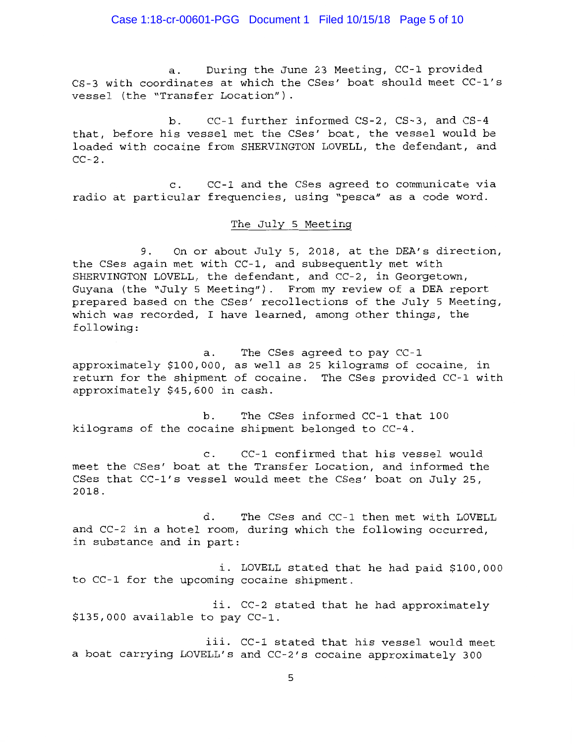a. During the June 23 Meeting, CC-1 provided CS-3 with coordinates at which the CSes' boat should meet CC-l's vessel (the "Transfer Location").

b. CC-1 further informed CS-2, CS-3, and CS-4 that, before his vessel met the CSes' boat, the vessel would be loaded with cocaine from SHERVINGTON LOVELL, the defendant, and  $CC-2$ .

c. CC-1 and the CSes agreed to communicate via radio at particular frequencies, using "pesca" as a code word.

### The July 5 Meeting

9. On or about July 5, 2018, at the DEA's direction, the CSes again met with CC-1, and subsequently met with SHERVINGTON LOVELL, the defendant, and CC-2, in Georgetown, Guyana (the "July 5 Meeting"). From my review of a DEA report prepared based on the CSes' recollections of the July 5 Meeting, which was recorded, I have learned, among other things, the following:

a. approximately \$100,000, as well as 25 kilograms of cocaine, in return for the shipment of cocaine. The CSes provided CC-1 with approximately \$45,600 in cash. The CSes agreed to pay CC-1

b. The CSes informed CC-1 that 100 kilograms of the cocaine shipment belonged to CC-4.

c. CC-1 confirmed that his vessel would meet the CSes' boat at the Transfer Location, and informed the CSes that CC-l's vessel would meet the CSes' boat on July 25, 2018.

d. The CSes and CC-1 then met with LOVELL and CC-2 in a hotel room, during which the following occurred, in substance and in part:

i. LOVELL stated that he had paid \$100,000 to CC-1 for the upcoming cocaine shipment.

ii. CC-2 stated that he had approximately \$135,000 available to pay CC-1.

iii. CC-1 stated that his vessel would meet a boat carrying LOVELL's and CC-2's cocaine approximately 300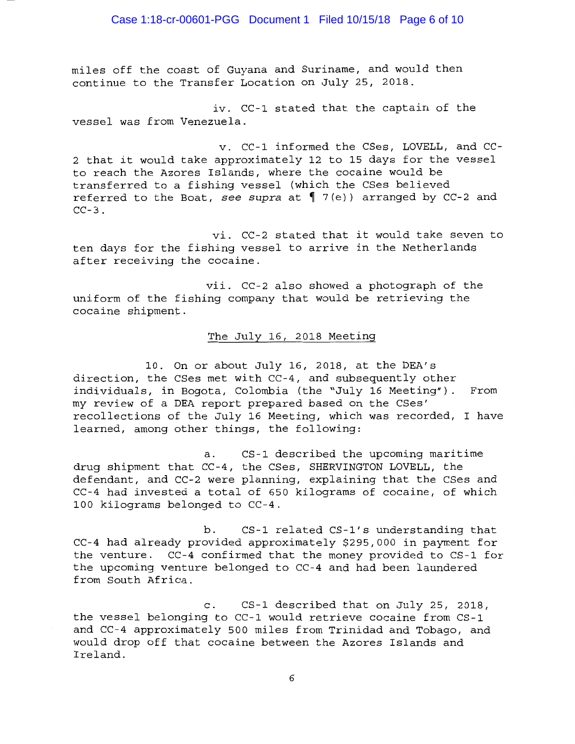miles off the coast of Guyana and Suriname, and would then continue to the Transfer Location on July 25, 2018.

iv. CC-1 stated that the captain of the vessel was from Venezuela.

v. CC-1 informed the CSes, LOVELL, and CC-2 that it would take approximately 12 to 15 days for the vessel to reach the Azores Islands, where the cocaine would be transferred to a fishing vessel (which the CSes believed referred to the Boat, see supra at 17(e)) arranged by CC-2 and  $CC-3$ .

vi. CC-2 stated that it would take seven to ten days for the fishing vessel to arrive in the Netherlands after receiving the cocaine.

vii. CC-2 also showed a photograph of the uniform of the fishing company that would be retrieving the cocaine shipment.

## The July 16, 2018 Meeting

10. On or about July 16, 2018, at the DEA's direction, the CSes met with CC-4, and subsequently other individuals, in Bogota, Colombia (the "July 16 Meeting"). From my review of a DEA report prepared based on the CSes' recollections of the July 16 Meeting, which was recorded, I have learned, among other things, the following:

a. CS-1 described the upcoming maritime drug shipment that CC-4, the CSes, SHERVINGTON LOVELL, the defendant, and CC-2 were planning, explaining that the CSes and CC-4 had invested a total of 650 kilograms of cocaine, of which 100 kilograms belonged to CC-4.

b. CS-1 related CS-l's understanding that CC-4 had already provided approximately \$295,000 in payment for the venture. CC-4 confirmed that the money provided to CS-1 for the upcoming venture belonged to CC-4 and had been laundered from South Africa.

c. CS-1 described that on July 25, 2018, the vessel belonging to CC-1 would retrieve cocaine from CS-1 and CC-4 approximately 500 miles from Trinidad and Tobago, and would drop off that cocaine between the Azores Islands and Ireland.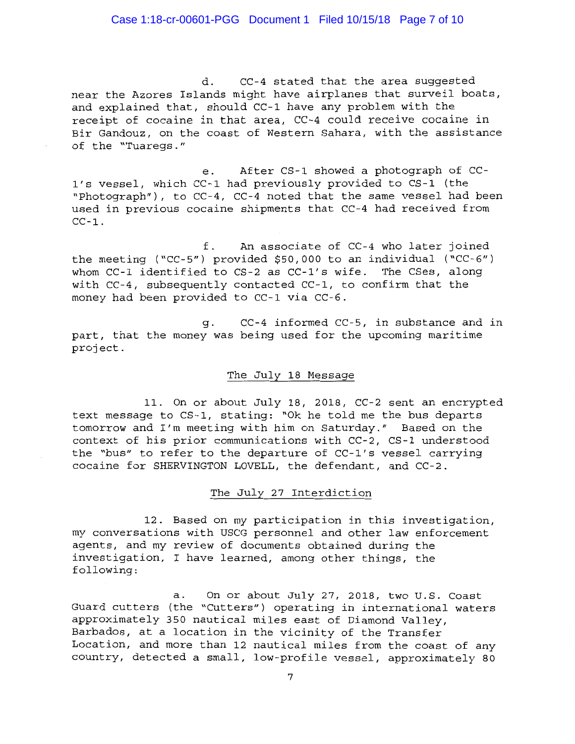d. CC-4 stated that the area suggested near the Azores Islands might have airplanes that surveil boats, and explained that, should CC-1 have any problem with the receipt of cocaine in that area, CC-4 could receive cocaine in Bir Gandouz, on the coast of Western Sahara, with the assistance of the "Tuaregs."

e. After CS-1 showed a photograph of CC-1' s vessel, which CC-1 had previously provided to CS-1 (the "Photograph"), to CC-4, CC-4 noted that the same vessel had been used in previous cocaine shipments that CC-4 had received from  $CC-1$ .

f. An associate of CC-4 who later joined the meeting ("CC-5") provided \$50,000 to an individual ("CC-6") whom CC-1 identified to CS-2 as CC-l's wife. The CSes, along with CC-4, subsequently contacted CC-1, to confirm that the money had been provided to CC-1 via CC-6.

g. CC-4 informed CC-5, in substance and in part, that the money was being used for the upcoming maritime project.

### The July 18 Message

11. On or about July 18, 2018, CC-2 sent an encrypted text message to CS-1, stating: "Ok he told me the bus departs tomorrow and I'm meeting with him on Saturday." Based on the context of his prior communications with CC-2, CS-1 understood the "bus" to refer to the departure of CC-l's vessel carrying cocaine for SHERVINGTON LOVELL, the defendant, and CC-2.

# The July 27 Interdiction

12. Based on my participation in this investigation, my conversations with USCG personnel and other law enforcement agents, and my review of documents obtained during the investigation, I have learned, among other things, the following:

a. On or about July 27, 2018, two U.S. Coast Guard cutters (the "Cutters") operating in international waters approximately 350 nautical miles east of Diamond Valley, Barbados, at a location in the vicinity of the Transfer Location, and more than 12 nautical miles from the coast of any country, detected a small, low-profile vessel, approximately 80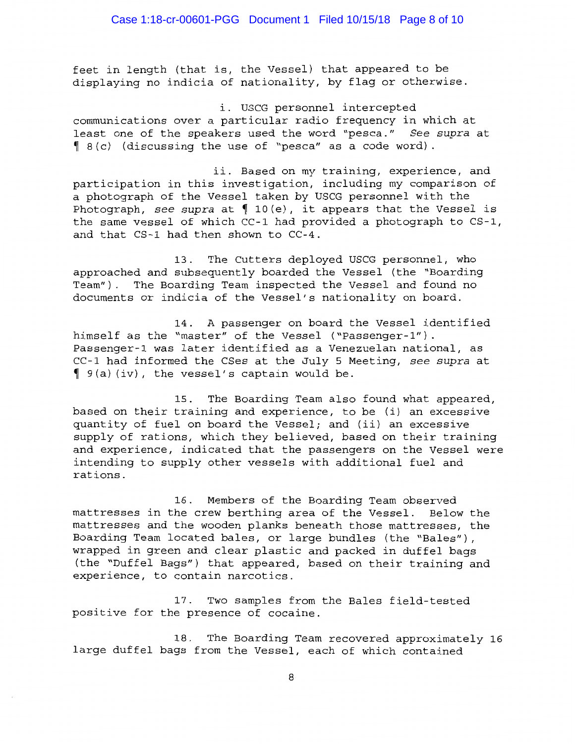feet in length (that is, the Vessel) that appeared to be displaying no indicia of nationality, by flag or otherwise.

i. USCG personnel intercepted communications over a particular radio frequency in which at least one of the speakers used the word "pesca." *See supra* at  $\left( \begin{array}{cc} 8 & c \end{array} \right)$  (discussing the use of "pesca" as a code word).

ii. Based on my training, experience, and participation in this investigation, including my comparison of a photograph of the Vessel taken by USCG personnel with the Photograph, see supra at  $\int$  10(e), it appears that the Vessel is the same vessel of which CC-1 had provided a photograph to CS-1, and that CS-1 had then shown to CC-4.

13. The Cutters deployed USCG personnel, who approached and subsequently boarded the Vessel (the "Boarding Team"). The Boarding Team inspected the Vessel and found no documents or indicia of the Vessel's nationality on board.

14. A passenger on board the Vessel identified himself as the "master" of the Vessel ("Passenger-1"). Passenger-1 was later identified as a Venezuelan national, as CC-1 had informed the CSes at the July 5 Meeting, *see supra* at  $\int$  9(a) (iv), the vessel's captain would be.

15. The Boarding Team also found what appeared, based on their training and experience, to be (i) an excessive quantity of fuel on board the Vessel; and (ii) an excessive supply of rations, which they believed, based on their training and experience, indicated that the passengers on the Vessel were intending to supply other vessels with additional fuel and rations.

16. Members of the Boarding Team observed mattresses in the crew berthing area of the Vessel. Below the mattresses and the wooden planks beneath those mattresses, the Boarding Team located bales, or large bundles (the "Bales"), wrapped in green and clear plastic and packed in duffel bags (the "Duffel Bags") that appeared, based on their training and experience, to contain narcotics.

17. Two samples from the Bales field-tested positive for the presence of cocaine.

18. The Boarding Team recovered approximately 16 large duffel bags from the Vessel, each of which contained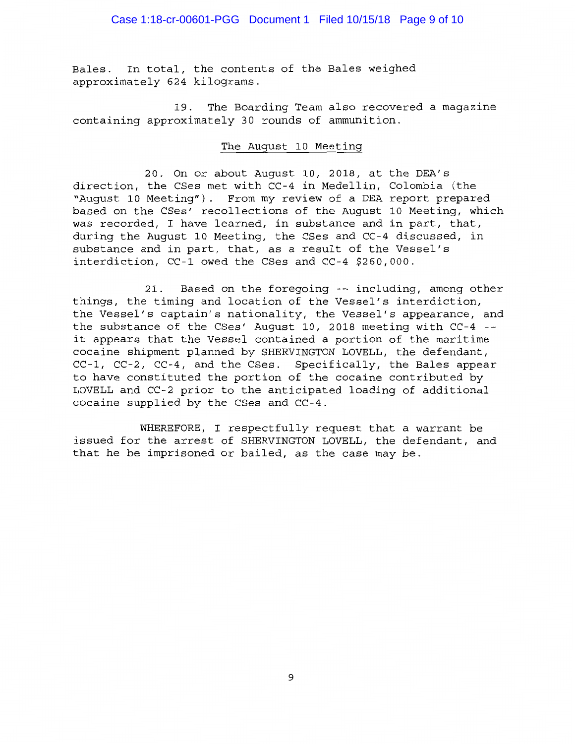Bales. In total, the contents of the Bales weighed approximately 624 kilograms.

19. The Boarding Team also recovered a magazine containing approximately 30 rounds of ammunition.

# The August 10 Meeting

20. On or about August 10, 2018, at the DEA's direction, the CSes met with CC-4 in Medellin, Colombia (the "August 10 Meeting"). From my review of a DEA report prepared based on the CSes' recollections of the August 10 Meeting, which was recorded, I have learned, in substance and in part, that, during the August 10 Meeting, the CSes and CC-4 discussed, in substance and in part, that, as a result of the Vessel's interdiction, CC-1 owed the CSes and CC-4 \$260,000.

21. Based on the foregoing -- including, among other things, the timing and location of the Vessel's interdiction, the Vessel's captain's nationality, the Vessel's appearance, and the substance of the CSes' August 10, 2018 meeting with CC-4 - it appears that the Vessel contained a portion of the maritime cocaine shipment planned by SHERVINGTON LOVELL, the defendant, CC-1, CC-2, CC-4, and the CSes. Specifically, the Bales appear to have constituted the portion of the cocaine contributed by LOVELL and CC-2 prior to the anticipated loading of additional cocaine supplied by the CSes and CC-4.

WHEREFORE, I respectfully request that a warrant be issued for the arrest of SHERVINGTON LOVELL, the defendant, and that he be imprisoned or bailed, as the case may be.